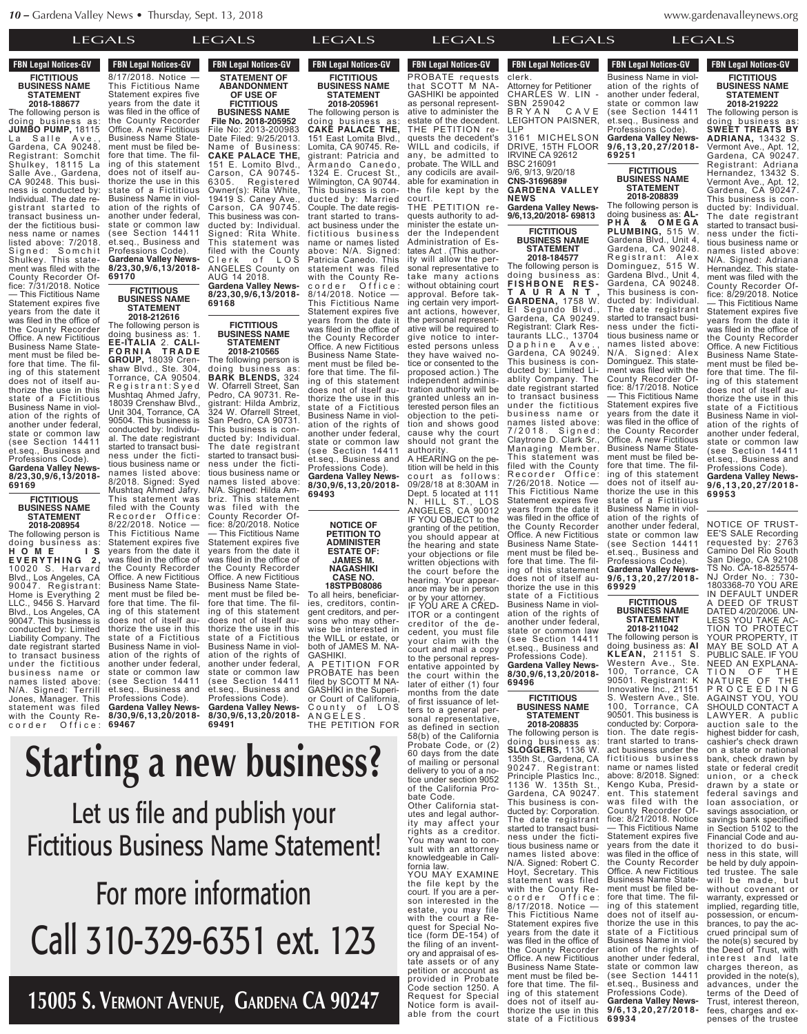statement was filed

 $\lambda$  Fig.  $\lambda$ Jones, Manager. This

## **FBN Legal Notices-GV FICTITIOUS BUSINESS NAME STATEMENT 2018-188677**

The following person is doing business as: **JUMBO PUMP,** 18115 La Salle Ave., Gardena, CA 90248. Registrant: Somchit Shulkey, 18115 La Salle Ave., Gardena, CA 90248. This business is conducted by: Individual. The date registrant started to transact business under the fictitious business name or names listed above: 7/2018.<br>Signed: Somchit Signed: Somchit Shulkey. This statement was filed with the County Recorder Office: 7/31/2018. Notice — This Fictitious Name Statement expires five years from the date it was filed in the office of the County Recorder Office. A new Fictitious Business Name Statement must be filed before that time. The filing of this statement does not of itself authorize the use in this state of a Fictitious Business Name in violation of the rights of another under federal, state or common law (see Section 14411 et.seq., Business and Professions Code).

# **Gardena Valley News-8/23,30,9/6,13/2018- 69169**

**FICTITIOUS BUSINESS NAME STATEMENT 2018-208954**

The following person is doing business as: **H O M E I S E V E R Y T H I N G 2 ,** 10020 S. Har vard Blvd., Los Angeles, CA 90047. Registrant: Home is Everything 2 LLC., 9456 S. Harvard Blvd., Los Angeles, CA 90047. This business is conducted by: Limited Liability Company. The date registrant started to transact business under the fictitious business name or names listed above: N/A. Signed: Terrill Jones, Manager. This statement was filed with the County Recorder Office:

8/17/2018. Note 4.000 per cent of the second second second second second second second second second second se This Fiction Islands

**FBN Legal Notices-GV CONCESS FOR EXAMPLE FOR EXAMPLE STATE** 8/17/2018. Notice — This Fictitious Name Statement expires five years from the date it was filed in the office of the County Recorder Office. A new Fictitious Business Name Statement must be filed before that time. The filing of this statement does not of itself authorize the use in this state of a Fictitious Business Name in violation of the rights of another under federal, state or common law (see Section 14411 et.seq., Business and Professions Code). **Gardena Valley News-8/23,30,9/6,13/2018- 69170**

**FICTITIOUS BUSINESS NAME STATEMENT 2018-212616**

The following person is doing business as: 1. **EE-ITALIA** 2. **CALI-F O R N I A T R A D E GROUP,** 18039 Crenshaw Blvd., Ste. 304, Torrance, CA 90504. R e g i s t r a n t : S y e d Mushtaq Ahmed Jafry, 18039 Crenshaw Blvd., Unit 304, Torrance, CA 90504. This business is conducted by: Individual. The date registrant started to transact business under the fictitious business name or names listed above: 8/2018. Signed: Syed Mushtaq Ahmed Jafry. This statement was filed with the County Recorder Office: 8/22/2018. Notice — This Fictitious Name Statement expires five years from the date it was filed in the office of the County Recorder Office. A new Fictitious Business Name Statement must be filed before that time. The filing of this statement does not of itself authorize the use in this state of a Fictitious Business Name in violation of the rights of another under federal, state or common law (see Section 14411 et.seq., Business and Professions Code). **Gardena Valley News-8/30,9/6,13,20/2018- 69467**

#### **FBN Legal Notices-GV FICTITIOUS BUSINESS NAME STATEMENT 2018-205961 FBN Legal Notices-GV STATEMENT OF ABANDONMENT OF USE OF**

**FICTITIOUS BUSINESS NAME File No. 2018-205952** File No: 2013-200983 Date Filed: 9/25/2013. Name of Business: **CAKE PALACE THE,** 151 E. Lomito Blvd., Carson, CA 90745- 6305. Registered Owner(s): Rita White, 19419 S. Caney Ave., Carson, CA 90745. This business was conducted by: Individual. Signed: Rita White. This statement was filed with the County Clerk of LOS ANGELES County on AUG 14 2018. **Gardena Valley News-8/23,30,9/6,13/2018-**

**69168 FICTITIOUS**

### **BUSINESS NAME STATEMENT 2018-210565**

**69493** The following person is doing business as: **BARK BLENDS,** 324 W. Ofarrell Street, San Pedro, CA 90731. Registrant: Hilda Ambriz, 324 W. Ofarrell Street, San Pedro, CA 90731. This business is conducted by: Individual. The date registrant started to transact business under the fictitious business name or names listed above: N/A. Signed: Hilda Ambriz. This statement was filed with the County Recorder Office: 8/20/2018. Notice — This Fictitious Name Statement expires five years from the date it was filed in the office of the County Recorder Office. A new Fictitious Business Name Statement must be filed before that time. The filing of this statement does not of itself authorize the use in this state of a Fictitious Business Name in violation of the rights of another under federal, state or common law (see Section 14411 et.seq., Business and Professions Code). **Gardena Valley News-8/30,9/6,13,20/2018- 69491**

### doing business as: **CAKE PALACE THE,** 151 East Lomita Blvd., Lomita, CA 90745. Registrant: Patricia and Armando Canedo, 1324 E. Crucest St., Wilmington, CA 90744. This business is conducted by: Married Couple. The date registrant started to transact business under the fictitious business name or names listed above: N/A. Signed: Patricia Canedo. This statement was filed with the County Recorder Office: 8/14/2018. Notice — This Fictitious Name Statement expires five years from the date it was filed in the office of the County Recorder Office. A néw Fictitious Business Name Statement must be filed before that time. The filing of this statement does not of itself authorize the use in this state of a Fictitious Business Name in violation of the rights of another under federal, state or common law (see Section 14411 et.seq., Business and Professions Code). **Gardena Valley News-8/30,9/6,13,20/2018-**

The following person is

**PETITION TO ADMINISTER ESTATE OF: JAMES M. NAGASHIKI CASE NO. 18STPB08086** To all heirs, beneficiaries, creditors, contingent creditors, and persons who may otherwise be interested in the WILL or estate, or both of JAMES M. NA-

**NOTICE OF**

GASHIKI. A PETITION FOR PROBATE has been filed by SCOTT M NA-GASHIKI in the Superior Court of California, County of LOS A N G E L E S . THE PETITION FOR PROBATE requests

that SCOTT M NA-

approval. Before tak-

the personal represent-

tice or consented to the

**FBN Legal Notices-GV THE PETITION FOR THE PETITION** PROBATE requests that SCOTT M NA-GASHIKI be appointed as personal representative to administer the estate of the decedent. THE PETITION requests the decedent's WILL and codicils, if any, be admitted to probate. The WILL and any codicils are available for examination in the file kept by the court. THE PETITION re-

filed by SCOTT M NA- $\overline{\phantom{a}}$  in  $\overline{\phantom{a}}$ LEGALS C o un t y o f L O S o f L O S o f L O S o f L O S o f L O S o f L O S o f L O S o f L O S o f L O S o f L O S

quests authority to administer the estate under the Independent Administration of Estates Act . (This authority will allow the personal representative to take many actions without obtaining court approval. Before taking certain very important actions, however the personal representative will be required to give notice to interested persons unless they have waived notice or consented to the proposed action.) The independent administration authority will be granted unless an interested person files an objection to the petition and shows good cause why the court should not grant the authority.

A HEARING on the petition will be held in this court as follows: 09/28/18 at 8:30AM in Dept. 5 located at 111 N. HILL ST., LOS ANGELES, CA 90012 IF YOU OBJECT to the granting of the petition, ou should appear at the hearing and state your objections or file written objections with the court before the hearing. Your appearance may be in person or by your attorney. IF YOU ARE A CRED-

ITOR or a contingent creditor of the decedent, you must file your claim with the court and mail a copy to the personal representative appointed by the court within the later of either (1) four months from the date of first issuance of letters to a general personal representative, as defined in section 58(b) of the California Probate Code, or (2) 60 days from the date of mailing or personal delivery to you of a notice under section 9052

of the California Probate Code. Other California statutes and legal authority may affect your rights as a creditor. You may want to consult with an attorney knowledgeable in Cali-

fornia law. YOU MAY EXAMINE the file kept by the court. If you are a person interested in the estate, you may file with the court a Request for Special Notice (form DE-154) of the filing of an inventory and appraisal of estate assets or of any petition or account as provided in Probate Code section 1250. A Request for Special Notice form is available from the court

et.seq., Business and Professions Code). **Gardena Valley News-9/6,13,20,27/2018- 69251 FBN Legal Notices-GV FON LEGAL NULLES-CIV** clerk. Attorney for Petitioner CHARLES W. LIN - SBN 259042 B R Y A N C A V E LEIGHTON PAISNER, LLP<br>3161 **MICHELSON** DRIVE, 15TH FLOOR IRVINE CA 92612 BSC 216091 9/6, 9/13, 9/20/18 **CNS-3169689#**

petition or account as  $\overline{p}$  in Probate Code section 1250. A Request for Special

**GARDENA VALLEY NEWS Gardena Valley News-9/6,13,20/2018- 69813**

> **FICTITIOUS BUSINESS NAME STATEMENT 2018-184577**

The following person is doing business as: **F I S H B O N E R E S - T A U R A N T , GARDENA,** 1758 W. El Segundo Blvd. Gardena, CA 90249. Registrant: Clark Restaurants LLC., 13704 Daphine Ave., Gardena, CA 90249. This business is conducted by: Limited Liablity Company. The date registrant started to transact business under the fictitious business name or names listed above: 7/2018. Signed: Claytrone D. Clark Sr., Managing Member. This statement was filed with the County Recorder Office: 7/26/2018. Notice — This Fictitious Name Statement expires five years from the date it was filed in the office of the County Recorder Office. A new Fictitious Business Name Statement must be filed before that time. The filing of this statement does not of itself authorize the use in this state of a Fictitious Business Name in violation of the rights of another under federal, state or common law (see Section 14411 et.seq., Business and Professions Code). **Gardena Valley News-8/30,9/6,13,20/2018- 69496**

**69929**

**69934**

**FICTITIOUS BUSINESS NAME STATEMENT 2018-211042** The following person is doing business as: **AI KLEAN,** 21151 S. Western Ave., Ste. 100, Torrance, CA 90501. Registrant: K Innovative Inc., 21151 S. Western Ave., Ste. 100, Torrance, CA 90501. This business is conducted by: Corporation. The date registrant started to transact business under the fictitious business name or names listed above: 8/2018. Signed: Kengo Kuba, President. This statement was filed with the County Recorder Office: 8/21/2018. Notice — This Fictitious Name Statement expires five years from the date it was filed in the office of the County Recorder Office. A new Fictitious Business Name Statement must be filed before that time. The filing of this statement does not of itself authorize the use in this state of a Fictitious Business Name in violation of the rights of<br>another under federal, another under federal,<br>state or common law (see Section 14411 et.seq., Business and Professions Code). **Gardena Valley News-9/6,13,20,27/2018-**

### **FICTITIOUS BUSINESS NAME STATEMENT 2018-208835**

The following person is doing business as: **SLOGGERS,** <sup>1136</sup> W. 135th St., Gardena, CA 90247. Registrant: Principle Plastics Inc., 1136 W. 135th St., Gardena, CA 90247. This business is conducted by: Corporation. The date registrant started to transact business under the fictitious business name or names listed above: N/A. Signed: Robert C. Hoyt, Secretary. This statement was filed with the County Recorder Office: 8/17/2018. Notice — This Fictitious Name Statement expires five years from the date it was filed in the office of the County Recorder Office. A new Fictitious Business Name Statement must be filed before that time. The filing of this statement does not of itself authorize the use in this state of a Fictitious

LEGALS LEGALS LEGALS LEGALS LEGALS LEGALS  $\epsilon$  that time. s LEC

www.g <u>ment must be filed be-filed be-filed be-filed be-filed be-filed be-filed be-filed be-filed be-filed be-filed b</u>

does not of itself au-

**FICTITIOUS BUSINESS NAME STATEMENT 2018-208839** The following person is doing business as: **AL-P H A & O M E G A PLUMBING,** 515 W. Gardena Blvd., Unit 4, Gardena, CA 90248. Registrant: Alex Dominguez, 515 W. Gardena Blvd., Unit 4, Gardena, CA 90248. This business is conducted by: Individual. The date registrant started to transact business under the fictitious business name or names listed above: N/A. Signed: Alex Dominguez. This statement was filed with the County Recorder Office: 8/17/2018. Notice — This Fictitious Name Statement expires five years from the date it was filed in the office of the County Recorder Office. A new Fictitious Business Name Statement must be filed before that time. The filing of this statement does not of itself authorize the use in this state of a Fictitious Business Name in violation of the rights of another under federal, state or common law (see Section 14411 et.seq., Business and Professions Code). **Gardena Valley News-9/6,13,20,27/2018-**

#### **FBN Legal Notices-GV FICTITIOUS BUSINESS NAME STATEMENT 2018-219222** The following person is **FBN Legal Notices-GV FIGURE CONSTRUCTS** Business Name in violation of the rights of another under federal, state or common law (see Section 14411

doing business as: **SWEET TREATS BY ADRIANA,** 13432 S. Vermont Ave., Apt. 12, Gardena, CA 90247. Registrant: Adriana Hernandez, 13432 S. Vermont Ave., Apt. 12, Gardena, CA 90247. This business is conducted by: Individual. The date registrant started to transact business under the fictitious business name or names listed above: N/A. Signed: Adriana Hernandez. This statement was filed with the County Recorder Office: 8/29/2018. Notice — This Fictitious Name Statement expires five years from the date it was filed in the office of the County Recorder Office. A néw Fictitious Business Name Statement must be filed before that time. The filing of this statement does not of itself authorize the use in this state of a Fictitious Business Name in violation of the rights of another under federal, state or common law (see Section 14411 et.seq., Business and

Professions Code). **Gardena Valley News-9/6,13,20,27/2018- 69953**

NOTICE OF TRUST-EE'S SALE Recording requested by: 2763 Camino Del Rio South San Diego, CA 92108 TS No. CA-18-825574- NJ Order No. : 730- 1803368-70 YOU ARE IN DEFAULT UNDER A DEED OF TRUST DATED 4/20/2006. UN-LESS YOU TAKE AC-TION TO PROTECT YOUR PROPERTY, IT MAY BE SOLD AT A PUBLIC SALE. IF YOU NEED AN EXPLANA-TION OF THE NATURE OF THE P R O C E E D I N G AGAINST YOU, YOU SHOULD CONTACT A LAWYER. A public auction sale to the highest bidder for cash, cashier's check drawn on a state or national bank, check drawn by state or federal credit union, or a check drawn by a state or federal savings and loan association, or savings association, or savings bank specified in Section 5102 to the Financial Code and authorized to do business in this state, will be held by duly appointed trustee. The sale will be made, but without covenant or warranty, expressed or implied, regarding title, possession, or encumbrances, to pay the accrued principal sum of the note(s) secured by the Deed of Trust, with interest and late charges thereon, as provided in the note(s), advances, under the terms of the Deed of Trust, interest thereon,<br>fees, charges and expenses of the trustee

ness? estate of the decedent. any, because  $\mathbf{r}$ pull and WILL and WILL and South Street, The WILL and The WILL and The WILL and T able for examination in tement k  $\overline{\phantom{a}}$ der the Independent Administration of Estates Act . (This author- $127$  $\blacksquare$ **Starti** the County Report **Starting a new business?** ment must be filed before that time. The fil**ing of the state of the state of the state of the state of the state of the state of the state of the state of** does not of itself authat in this intervals in this case in this case in this case is  $\mathbf{r}$ state of a Fictitious **Fictitious Business Name Statement!** state or common law (see Section 1441) et.seq., Business and Professions Code). **Gardena Valley News-8/23,30,9/6,13/2018- 69170** Call 310-329-6351 ext. 123 For more information

 $\sim$  and  $\sim$  $\alpha$  yuz $4/$ they have waived no-**15005 S. Vermont Avenue, Gardena CA 90247**